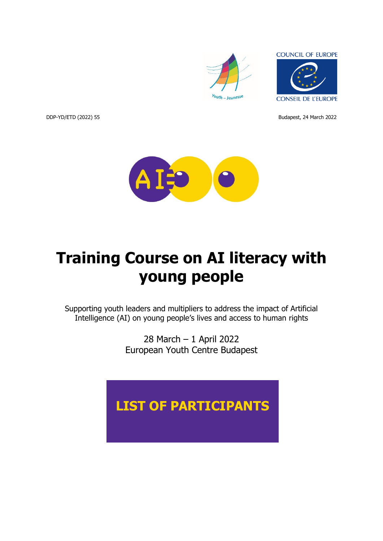

**COUNCIL OF EUROPE** 

**CONSEIL DE L'EUROPE** 

DDP-YD/ETD (2022) 55 Budapest, 24 March 2022

A

# **Training Course on AI literacy with young people**

Supporting youth leaders and multipliers to address the impact of Artificial Intelligence (AI) on young people's lives and access to human rights

> 28 March – 1 April 2022 European Youth Centre Budapest

## **LIST OF PARTICIPANTS**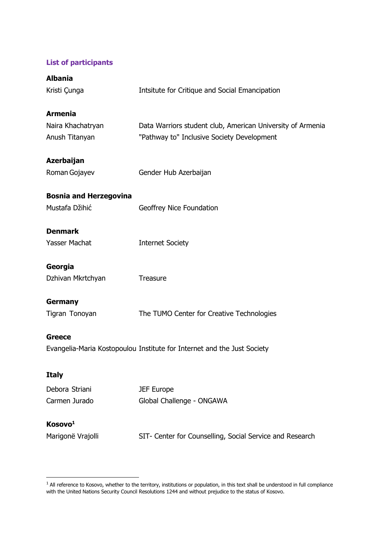### **List of participants**

| <b>Albania</b>                |                                                                         |
|-------------------------------|-------------------------------------------------------------------------|
| Kristi Çunga                  | Intsitute for Critique and Social Emancipation                          |
| <b>Armenia</b>                |                                                                         |
| Naira Khachatryan             | Data Warriors student club, American University of Armenia              |
| Anush Titanyan                | "Pathway to" Inclusive Society Development                              |
| <b>Azerbaijan</b>             |                                                                         |
| Roman Gojayev                 | Gender Hub Azerbaijan                                                   |
| <b>Bosnia and Herzegovina</b> |                                                                         |
| Mustafa Džihić                | Geoffrey Nice Foundation                                                |
| <b>Denmark</b>                |                                                                         |
| Yasser Machat                 | <b>Internet Society</b>                                                 |
| Georgia                       |                                                                         |
| Dzhivan Mkrtchyan             | Treasure                                                                |
| Germany                       |                                                                         |
| Tigran Tonoyan                | The TUMO Center for Creative Technologies                               |
| Greece                        |                                                                         |
|                               | Evangelia-Maria Kostopoulou Institute for Internet and the Just Society |
| <b>Italy</b>                  |                                                                         |
| Debora Striani                | <b>JEF Europe</b>                                                       |
| Carmen Jurado                 | Global Challenge - ONGAWA                                               |
| Kosovo <sup>1</sup>           |                                                                         |
| Marigonë Vrajolli             | SIT- Center for Counselling, Social Service and Research                |

 $<sup>1</sup>$  All reference to Kosovo, whether to the territory, institutions or population, in this text shall be understood in full compliance</sup> with the United Nations Security Council Resolutions 1244 and without prejudice to the status of Kosovo.